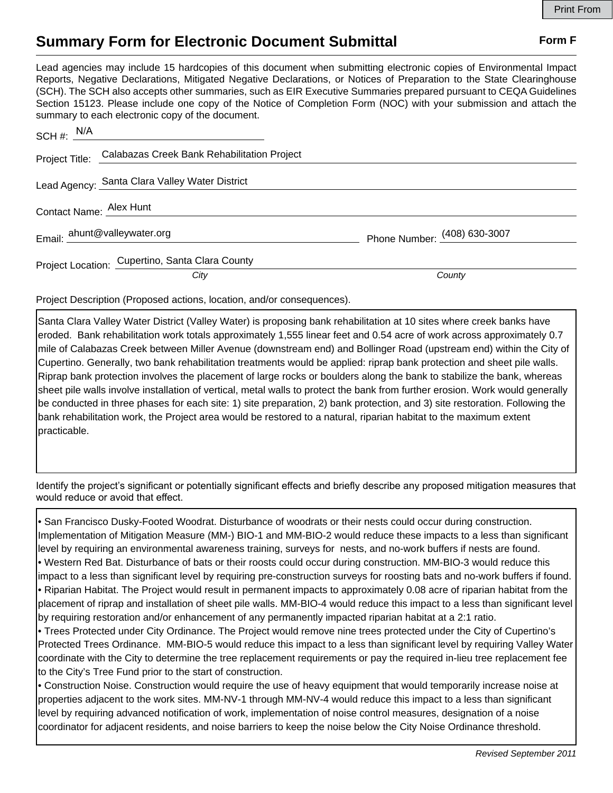## **Summary Form for Electronic Document Submittal Form F Form F**

Lead agencies may include 15 hardcopies of this document when submitting electronic copies of Environmental Impact Reports, Negative Declarations, Mitigated Negative Declarations, or Notices of Preparation to the State Clearinghouse (SCH). The SCH also accepts other summaries, such as EIR Executive Summaries prepared pursuant to CEQA Guidelines Section 15123. Please include one copy of the Notice of Completion Form (NOC) with your submission and attach the summary to each electronic copy of the document.

|                              | $SCH \#: \frac{N/A}{N}$                                    |                              |
|------------------------------|------------------------------------------------------------|------------------------------|
|                              | Project Title: Calabazas Creek Bank Rehabilitation Project |                              |
|                              | Lead Agency: Santa Clara Valley Water District             |                              |
| Contact Name: Alex Hunt      |                                                            |                              |
| Email: ahunt@valleywater.org |                                                            | Phone Number: (408) 630-3007 |
|                              | Project Location: Cupertino, Santa Clara County            |                              |
|                              | City                                                       | County                       |

Project Description (Proposed actions, location, and/or consequences).

Santa Clara Valley Water District (Valley Water) is proposing bank rehabilitation at 10 sites where creek banks have eroded. Bank rehabilitation work totals approximately 1,555 linear feet and 0.54 acre of work across approximately 0.7 mile of Calabazas Creek between Miller Avenue (downstream end) and Bollinger Road (upstream end) within the City of Cupertino. Generally, two bank rehabilitation treatments would be applied: riprap bank protection and sheet pile walls. Riprap bank protection involves the placement of large rocks or boulders along the bank to stabilize the bank, whereas sheet pile walls involve installation of vertical, metal walls to protect the bank from further erosion. Work would generally be conducted in three phases for each site: 1) site preparation, 2) bank protection, and 3) site restoration. Following the bank rehabilitation work, the Project area would be restored to a natural, riparian habitat to the maximum extent practicable.

Identify the project's significant or potentially significant effects and briefly describe any proposed mitigation measures that would reduce or avoid that effect.

• San Francisco Dusky-Footed Woodrat. Disturbance of woodrats or their nests could occur during construction. Implementation of Mitigation Measure (MM-) BIO-1 and MM-BIO-2 would reduce these impacts to a less than significant level by requiring an environmental awareness training, surveys for nests, and no-work buffers if nests are found. • Western Red Bat. Disturbance of bats or their roosts could occur during construction. MM-BIO-3 would reduce this impact to a less than significant level by requiring pre-construction surveys for roosting bats and no-work buffers if found. • Riparian Habitat. The Project would result in permanent impacts to approximately 0.08 acre of riparian habitat from the placement of riprap and installation of sheet pile walls. MM-BIO-4 would reduce this impact to a less than significant level by requiring restoration and/or enhancement of any permanently impacted riparian habitat at a 2:1 ratio.

• Trees Protected under City Ordinance. The Project would remove nine trees protected under the City of Cupertino's Protected Trees Ordinance. MM-BIO-5 would reduce this impact to a less than significant level by requiring Valley Water coordinate with the City to determine the tree replacement requirements or pay the required in-lieu tree replacement fee to the City's Tree Fund prior to the start of construction.

• Construction Noise. Construction would require the use of heavy equipment that would temporarily increase noise at properties adjacent to the work sites. MM-NV-1 through MM-NV-4 would reduce this impact to a less than significant level by requiring advanced notification of work, implementation of noise control measures, designation of a noise coordinator for adjacent residents, and noise barriers to keep the noise below the City Noise Ordinance threshold.